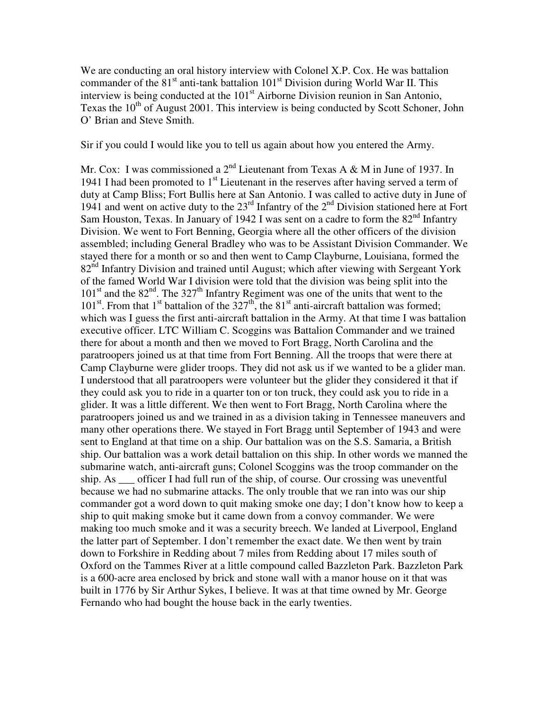We are conducting an oral history interview with Colonel X.P. Cox. He was battalion commander of the  $81<sup>st</sup>$  anti-tank battalion  $101<sup>st</sup>$  Division during World War II. This interview is being conducted at the 101<sup>st</sup> Airborne Division reunion in San Antonio, Texas the  $10<sup>th</sup>$  of August 2001. This interview is being conducted by Scott Schoner, John O' Brian and Steve Smith.

Sir if you could I would like you to tell us again about how you entered the Army.

Mr. Cox: I was commissioned a  $2<sup>nd</sup>$  Lieutenant from Texas A & M in June of 1937. In 1941 I had been promoted to  $1<sup>st</sup>$  Lieutenant in the reserves after having served a term of duty at Camp Bliss; Fort Bullis here at San Antonio. I was called to active duty in June of 1941 and went on active duty to the  $23<sup>rd</sup>$  Infantry of the  $2<sup>nd</sup>$  Division stationed here at Fort Sam Houston, Texas. In January of 1942 I was sent on a cadre to form the  $82<sup>nd</sup>$  Infantry Division. We went to Fort Benning, Georgia where all the other officers of the division assembled; including General Bradley who was to be Assistant Division Commander. We stayed there for a month or so and then went to Camp Clayburne, Louisiana, formed the 82<sup>nd</sup> Infantry Division and trained until August; which after viewing with Sergeant York of the famed World War I division were told that the division was being split into the  $101<sup>st</sup>$  and the  $82<sup>nd</sup>$ . The 327<sup>th</sup> Infantry Regiment was one of the units that went to the  $101<sup>st</sup>$ . From that  $1<sup>st</sup>$  battalion of the  $327<sup>th</sup>$ , the 81<sup>st</sup> anti-aircraft battalion was formed; which was I guess the first anti-aircraft battalion in the Army. At that time I was battalion executive officer. LTC William C. Scoggins was Battalion Commander and we trained there for about a month and then we moved to Fort Bragg, North Carolina and the paratroopers joined us at that time from Fort Benning. All the troops that were there at Camp Clayburne were glider troops. They did not ask us if we wanted to be a glider man. I understood that all paratroopers were volunteer but the glider they considered it that if they could ask you to ride in a quarter ton or ton truck, they could ask you to ride in a glider. It was a little different. We then went to Fort Bragg, North Carolina where the paratroopers joined us and we trained in as a division taking in Tennessee maneuvers and many other operations there. We stayed in Fort Bragg until September of 1943 and were sent to England at that time on a ship. Our battalion was on the S.S. Samaria, a British ship. Our battalion was a work detail battalion on this ship. In other words we manned the submarine watch, anti-aircraft guns; Colonel Scoggins was the troop commander on the ship. As \_\_\_ officer I had full run of the ship, of course. Our crossing was uneventful because we had no submarine attacks. The only trouble that we ran into was our ship commander got a word down to quit making smoke one day; I don't know how to keep a ship to quit making smoke but it came down from a convoy commander. We were making too much smoke and it was a security breech. We landed at Liverpool, England the latter part of September. I don't remember the exact date. We then went by train down to Forkshire in Redding about 7 miles from Redding about 17 miles south of Oxford on the Tammes River at a little compound called Bazzleton Park. Bazzleton Park is a 600-acre area enclosed by brick and stone wall with a manor house on it that was built in 1776 by Sir Arthur Sykes, I believe. It was at that time owned by Mr. George Fernando who had bought the house back in the early twenties.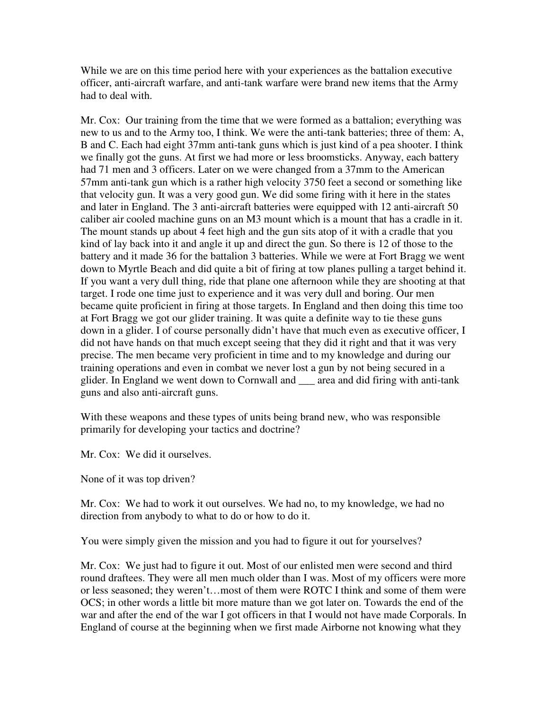While we are on this time period here with your experiences as the battalion executive officer, anti-aircraft warfare, and anti-tank warfare were brand new items that the Army had to deal with.

Mr. Cox: Our training from the time that we were formed as a battalion; everything was new to us and to the Army too, I think. We were the anti-tank batteries; three of them: A, B and C. Each had eight 37mm anti-tank guns which is just kind of a pea shooter. I think we finally got the guns. At first we had more or less broomsticks. Anyway, each battery had 71 men and 3 officers. Later on we were changed from a 37mm to the American 57mm anti-tank gun which is a rather high velocity 3750 feet a second or something like that velocity gun. It was a very good gun. We did some firing with it here in the states and later in England. The 3 anti-aircraft batteries were equipped with 12 anti-aircraft 50 caliber air cooled machine guns on an M3 mount which is a mount that has a cradle in it. The mount stands up about 4 feet high and the gun sits atop of it with a cradle that you kind of lay back into it and angle it up and direct the gun. So there is 12 of those to the battery and it made 36 for the battalion 3 batteries. While we were at Fort Bragg we went down to Myrtle Beach and did quite a bit of firing at tow planes pulling a target behind it. If you want a very dull thing, ride that plane one afternoon while they are shooting at that target. I rode one time just to experience and it was very dull and boring. Our men became quite proficient in firing at those targets. In England and then doing this time too at Fort Bragg we got our glider training. It was quite a definite way to tie these guns down in a glider. I of course personally didn't have that much even as executive officer, I did not have hands on that much except seeing that they did it right and that it was very precise. The men became very proficient in time and to my knowledge and during our training operations and even in combat we never lost a gun by not being secured in a glider. In England we went down to Cornwall and \_\_\_ area and did firing with anti-tank guns and also anti-aircraft guns.

With these weapons and these types of units being brand new, who was responsible primarily for developing your tactics and doctrine?

Mr. Cox: We did it ourselves.

None of it was top driven?

Mr. Cox: We had to work it out ourselves. We had no, to my knowledge, we had no direction from anybody to what to do or how to do it.

You were simply given the mission and you had to figure it out for yourselves?

Mr. Cox: We just had to figure it out. Most of our enlisted men were second and third round draftees. They were all men much older than I was. Most of my officers were more or less seasoned; they weren't…most of them were ROTC I think and some of them were OCS; in other words a little bit more mature than we got later on. Towards the end of the war and after the end of the war I got officers in that I would not have made Corporals. In England of course at the beginning when we first made Airborne not knowing what they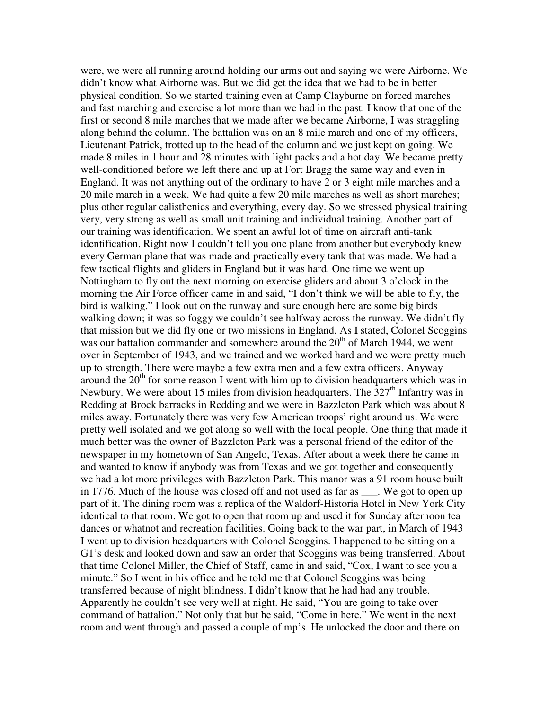were, we were all running around holding our arms out and saying we were Airborne. We didn't know what Airborne was. But we did get the idea that we had to be in better physical condition. So we started training even at Camp Clayburne on forced marches and fast marching and exercise a lot more than we had in the past. I know that one of the first or second 8 mile marches that we made after we became Airborne, I was straggling along behind the column. The battalion was on an 8 mile march and one of my officers, Lieutenant Patrick, trotted up to the head of the column and we just kept on going. We made 8 miles in 1 hour and 28 minutes with light packs and a hot day. We became pretty well-conditioned before we left there and up at Fort Bragg the same way and even in England. It was not anything out of the ordinary to have 2 or 3 eight mile marches and a 20 mile march in a week. We had quite a few 20 mile marches as well as short marches; plus other regular calisthenics and everything, every day. So we stressed physical training very, very strong as well as small unit training and individual training. Another part of our training was identification. We spent an awful lot of time on aircraft anti-tank identification. Right now I couldn't tell you one plane from another but everybody knew every German plane that was made and practically every tank that was made. We had a few tactical flights and gliders in England but it was hard. One time we went up Nottingham to fly out the next morning on exercise gliders and about 3 o'clock in the morning the Air Force officer came in and said, "I don't think we will be able to fly, the bird is walking." I look out on the runway and sure enough here are some big birds walking down; it was so foggy we couldn't see halfway across the runway. We didn't fly that mission but we did fly one or two missions in England. As I stated, Colonel Scoggins was our battalion commander and somewhere around the  $20<sup>th</sup>$  of March 1944, we went over in September of 1943, and we trained and we worked hard and we were pretty much up to strength. There were maybe a few extra men and a few extra officers. Anyway around the  $20<sup>th</sup>$  for some reason I went with him up to division headquarters which was in Newbury. We were about 15 miles from division headquarters. The  $327<sup>th</sup>$  Infantry was in Redding at Brock barracks in Redding and we were in Bazzleton Park which was about 8 miles away. Fortunately there was very few American troops' right around us. We were pretty well isolated and we got along so well with the local people. One thing that made it much better was the owner of Bazzleton Park was a personal friend of the editor of the newspaper in my hometown of San Angelo, Texas. After about a week there he came in and wanted to know if anybody was from Texas and we got together and consequently we had a lot more privileges with Bazzleton Park. This manor was a 91 room house built in 1776. Much of the house was closed off and not used as far as . We got to open up part of it. The dining room was a replica of the Waldorf-Historia Hotel in New York City identical to that room. We got to open that room up and used it for Sunday afternoon tea dances or whatnot and recreation facilities. Going back to the war part, in March of 1943 I went up to division headquarters with Colonel Scoggins. I happened to be sitting on a G1's desk and looked down and saw an order that Scoggins was being transferred. About that time Colonel Miller, the Chief of Staff, came in and said, "Cox, I want to see you a minute." So I went in his office and he told me that Colonel Scoggins was being transferred because of night blindness. I didn't know that he had had any trouble. Apparently he couldn't see very well at night. He said, "You are going to take over command of battalion." Not only that but he said, "Come in here." We went in the next room and went through and passed a couple of mp's. He unlocked the door and there on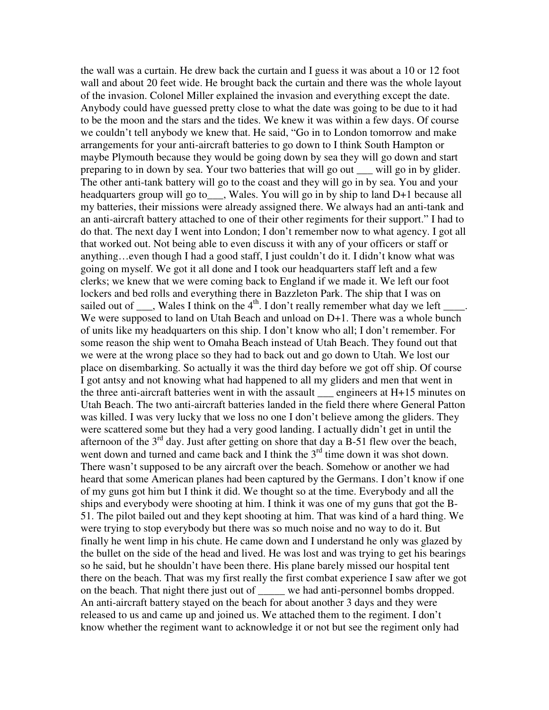the wall was a curtain. He drew back the curtain and I guess it was about a 10 or 12 foot wall and about 20 feet wide. He brought back the curtain and there was the whole layout of the invasion. Colonel Miller explained the invasion and everything except the date. Anybody could have guessed pretty close to what the date was going to be due to it had to be the moon and the stars and the tides. We knew it was within a few days. Of course we couldn't tell anybody we knew that. He said, "Go in to London tomorrow and make arrangements for your anti-aircraft batteries to go down to I think South Hampton or maybe Plymouth because they would be going down by sea they will go down and start preparing to in down by sea. Your two batteries that will go out \_\_\_ will go in by glider. The other anti-tank battery will go to the coast and they will go in by sea. You and your headquarters group will go to \_\_\_, Wales. You will go in by ship to land D+1 because all my batteries, their missions were already assigned there. We always had an anti-tank and an anti-aircraft battery attached to one of their other regiments for their support." I had to do that. The next day I went into London; I don't remember now to what agency. I got all that worked out. Not being able to even discuss it with any of your officers or staff or anything…even though I had a good staff, I just couldn't do it. I didn't know what was going on myself. We got it all done and I took our headquarters staff left and a few clerks; we knew that we were coming back to England if we made it. We left our foot lockers and bed rolls and everything there in Bazzleton Park. The ship that I was on sailed out of  $\_\_\_\$ , Wales I think on the 4<sup>th</sup>. I don't really remember what day we left  $\_\_\_\_\$ We were supposed to land on Utah Beach and unload on D+1. There was a whole bunch of units like my headquarters on this ship. I don't know who all; I don't remember. For some reason the ship went to Omaha Beach instead of Utah Beach. They found out that we were at the wrong place so they had to back out and go down to Utah. We lost our place on disembarking. So actually it was the third day before we got off ship. Of course I got antsy and not knowing what had happened to all my gliders and men that went in the three anti-aircraft batteries went in with the assault \_\_\_ engineers at H+15 minutes on Utah Beach. The two anti-aircraft batteries landed in the field there where General Patton was killed. I was very lucky that we loss no one I don't believe among the gliders. They were scattered some but they had a very good landing. I actually didn't get in until the afternoon of the  $3<sup>rd</sup>$  day. Just after getting on shore that day a B-51 flew over the beach, went down and turned and came back and I think the  $3<sup>rd</sup>$  time down it was shot down. There wasn't supposed to be any aircraft over the beach. Somehow or another we had heard that some American planes had been captured by the Germans. I don't know if one of my guns got him but I think it did. We thought so at the time. Everybody and all the ships and everybody were shooting at him. I think it was one of my guns that got the B-51. The pilot bailed out and they kept shooting at him. That was kind of a hard thing. We were trying to stop everybody but there was so much noise and no way to do it. But finally he went limp in his chute. He came down and I understand he only was glazed by the bullet on the side of the head and lived. He was lost and was trying to get his bearings so he said, but he shouldn't have been there. His plane barely missed our hospital tent there on the beach. That was my first really the first combat experience I saw after we got on the beach. That night there just out of \_\_\_\_\_ we had anti-personnel bombs dropped. An anti-aircraft battery stayed on the beach for about another 3 days and they were released to us and came up and joined us. We attached them to the regiment. I don't know whether the regiment want to acknowledge it or not but see the regiment only had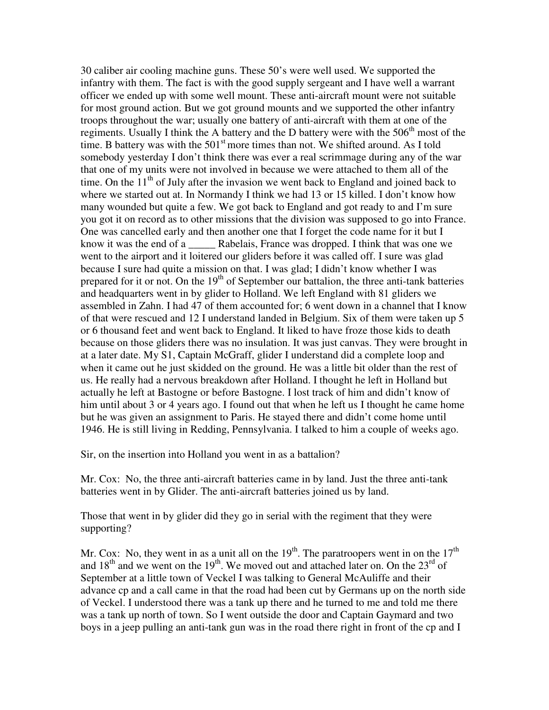30 caliber air cooling machine guns. These 50's were well used. We supported the infantry with them. The fact is with the good supply sergeant and I have well a warrant officer we ended up with some well mount. These anti-aircraft mount were not suitable for most ground action. But we got ground mounts and we supported the other infantry troops throughout the war; usually one battery of anti-aircraft with them at one of the regiments. Usually I think the A battery and the D battery were with the  $506<sup>th</sup>$  most of the time. B battery was with the  $501<sup>st</sup>$  more times than not. We shifted around. As I told somebody yesterday I don't think there was ever a real scrimmage during any of the war that one of my units were not involved in because we were attached to them all of the time. On the  $11<sup>th</sup>$  of July after the invasion we went back to England and joined back to where we started out at. In Normandy I think we had 13 or 15 killed. I don't know how many wounded but quite a few. We got back to England and got ready to and I'm sure you got it on record as to other missions that the division was supposed to go into France. One was cancelled early and then another one that I forget the code name for it but I know it was the end of a \_\_\_\_\_ Rabelais, France was dropped. I think that was one we went to the airport and it loitered our gliders before it was called off. I sure was glad because I sure had quite a mission on that. I was glad; I didn't know whether I was prepared for it or not. On the  $19<sup>th</sup>$  of September our battalion, the three anti-tank batteries and headquarters went in by glider to Holland. We left England with 81 gliders we assembled in Zahn. I had 47 of them accounted for; 6 went down in a channel that I know of that were rescued and 12 I understand landed in Belgium. Six of them were taken up 5 or 6 thousand feet and went back to England. It liked to have froze those kids to death because on those gliders there was no insulation. It was just canvas. They were brought in at a later date. My S1, Captain McGraff, glider I understand did a complete loop and when it came out he just skidded on the ground. He was a little bit older than the rest of us. He really had a nervous breakdown after Holland. I thought he left in Holland but actually he left at Bastogne or before Bastogne. I lost track of him and didn't know of him until about 3 or 4 years ago. I found out that when he left us I thought he came home but he was given an assignment to Paris. He stayed there and didn't come home until 1946. He is still living in Redding, Pennsylvania. I talked to him a couple of weeks ago.

Sir, on the insertion into Holland you went in as a battalion?

Mr. Cox: No, the three anti-aircraft batteries came in by land. Just the three anti-tank batteries went in by Glider. The anti-aircraft batteries joined us by land.

Those that went in by glider did they go in serial with the regiment that they were supporting?

Mr. Cox: No, they went in as a unit all on the  $19<sup>th</sup>$ . The paratroopers went in on the  $17<sup>th</sup>$ and  $18<sup>th</sup>$  and we went on the  $19<sup>th</sup>$ . We moved out and attached later on. On the  $23<sup>rd</sup>$  of September at a little town of Veckel I was talking to General McAuliffe and their advance cp and a call came in that the road had been cut by Germans up on the north side of Veckel. I understood there was a tank up there and he turned to me and told me there was a tank up north of town. So I went outside the door and Captain Gaymard and two boys in a jeep pulling an anti-tank gun was in the road there right in front of the cp and I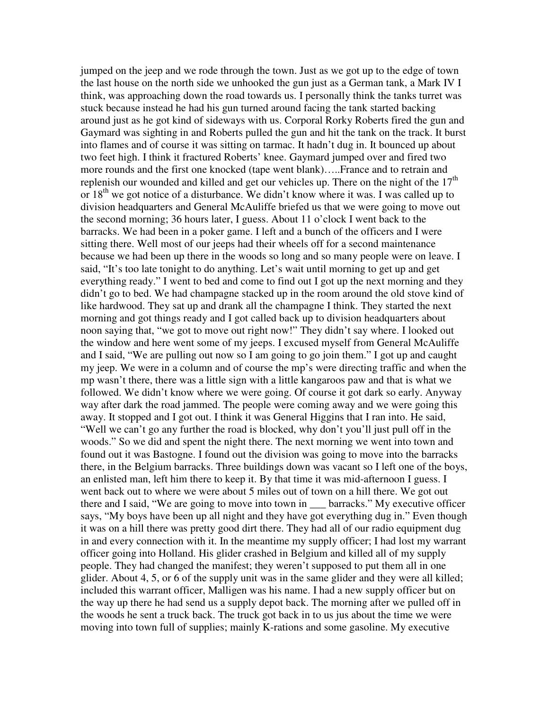jumped on the jeep and we rode through the town. Just as we got up to the edge of town the last house on the north side we unhooked the gun just as a German tank, a Mark IV I think, was approaching down the road towards us. I personally think the tanks turret was stuck because instead he had his gun turned around facing the tank started backing around just as he got kind of sideways with us. Corporal Rorky Roberts fired the gun and Gaymard was sighting in and Roberts pulled the gun and hit the tank on the track. It burst into flames and of course it was sitting on tarmac. It hadn't dug in. It bounced up about two feet high. I think it fractured Roberts' knee. Gaymard jumped over and fired two more rounds and the first one knocked (tape went blank)…..France and to retrain and replenish our wounded and killed and get our vehicles up. There on the night of the  $17<sup>th</sup>$ or 18<sup>th</sup> we got notice of a disturbance. We didn't know where it was. I was called up to division headquarters and General McAuliffe briefed us that we were going to move out the second morning; 36 hours later, I guess. About 11 o'clock I went back to the barracks. We had been in a poker game. I left and a bunch of the officers and I were sitting there. Well most of our jeeps had their wheels off for a second maintenance because we had been up there in the woods so long and so many people were on leave. I said, "It's too late tonight to do anything. Let's wait until morning to get up and get everything ready." I went to bed and come to find out I got up the next morning and they didn't go to bed. We had champagne stacked up in the room around the old stove kind of like hardwood. They sat up and drank all the champagne I think. They started the next morning and got things ready and I got called back up to division headquarters about noon saying that, "we got to move out right now!" They didn't say where. I looked out the window and here went some of my jeeps. I excused myself from General McAuliffe and I said, "We are pulling out now so I am going to go join them." I got up and caught my jeep. We were in a column and of course the mp's were directing traffic and when the mp wasn't there, there was a little sign with a little kangaroos paw and that is what we followed. We didn't know where we were going. Of course it got dark so early. Anyway way after dark the road jammed. The people were coming away and we were going this away. It stopped and I got out. I think it was General Higgins that I ran into. He said, "Well we can't go any further the road is blocked, why don't you'll just pull off in the woods." So we did and spent the night there. The next morning we went into town and found out it was Bastogne. I found out the division was going to move into the barracks there, in the Belgium barracks. Three buildings down was vacant so I left one of the boys, an enlisted man, left him there to keep it. By that time it was mid-afternoon I guess. I went back out to where we were about 5 miles out of town on a hill there. We got out there and I said, "We are going to move into town in \_\_\_ barracks." My executive officer says, "My boys have been up all night and they have got everything dug in." Even though it was on a hill there was pretty good dirt there. They had all of our radio equipment dug in and every connection with it. In the meantime my supply officer; I had lost my warrant officer going into Holland. His glider crashed in Belgium and killed all of my supply people. They had changed the manifest; they weren't supposed to put them all in one glider. About 4, 5, or 6 of the supply unit was in the same glider and they were all killed; included this warrant officer, Malligen was his name. I had a new supply officer but on the way up there he had send us a supply depot back. The morning after we pulled off in the woods he sent a truck back. The truck got back in to us jus about the time we were moving into town full of supplies; mainly K-rations and some gasoline. My executive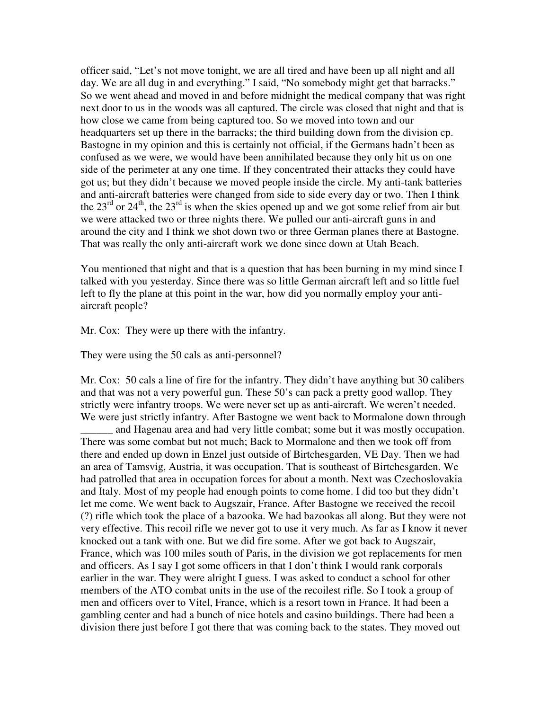officer said, "Let's not move tonight, we are all tired and have been up all night and all day. We are all dug in and everything." I said, "No somebody might get that barracks." So we went ahead and moved in and before midnight the medical company that was right next door to us in the woods was all captured. The circle was closed that night and that is how close we came from being captured too. So we moved into town and our headquarters set up there in the barracks; the third building down from the division cp. Bastogne in my opinion and this is certainly not official, if the Germans hadn't been as confused as we were, we would have been annihilated because they only hit us on one side of the perimeter at any one time. If they concentrated their attacks they could have got us; but they didn't because we moved people inside the circle. My anti-tank batteries and anti-aircraft batteries were changed from side to side every day or two. Then I think the  $23<sup>rd</sup>$  or  $24<sup>th</sup>$ , the  $23<sup>rd</sup>$  is when the skies opened up and we got some relief from air but we were attacked two or three nights there. We pulled our anti-aircraft guns in and around the city and I think we shot down two or three German planes there at Bastogne. That was really the only anti-aircraft work we done since down at Utah Beach.

You mentioned that night and that is a question that has been burning in my mind since I talked with you yesterday. Since there was so little German aircraft left and so little fuel left to fly the plane at this point in the war, how did you normally employ your antiaircraft people?

Mr. Cox: They were up there with the infantry.

They were using the 50 cals as anti-personnel?

Mr. Cox: 50 cals a line of fire for the infantry. They didn't have anything but 30 calibers and that was not a very powerful gun. These 50's can pack a pretty good wallop. They strictly were infantry troops. We were never set up as anti-aircraft. We weren't needed. We were just strictly infantry. After Bastogne we went back to Mormalone down through and Hagenau area and had very little combat; some but it was mostly occupation. There was some combat but not much; Back to Mormalone and then we took off from there and ended up down in Enzel just outside of Birtchesgarden, VE Day. Then we had an area of Tamsvig, Austria, it was occupation. That is southeast of Birtchesgarden. We had patrolled that area in occupation forces for about a month. Next was Czechoslovakia and Italy. Most of my people had enough points to come home. I did too but they didn't let me come. We went back to Augszair, France. After Bastogne we received the recoil (?) rifle which took the place of a bazooka. We had bazookas all along. But they were not very effective. This recoil rifle we never got to use it very much. As far as I know it never knocked out a tank with one. But we did fire some. After we got back to Augszair, France, which was 100 miles south of Paris, in the division we got replacements for men and officers. As I say I got some officers in that I don't think I would rank corporals earlier in the war. They were alright I guess. I was asked to conduct a school for other members of the ATO combat units in the use of the recoilest rifle. So I took a group of

men and officers over to Vitel, France, which is a resort town in France. It had been a gambling center and had a bunch of nice hotels and casino buildings. There had been a division there just before I got there that was coming back to the states. They moved out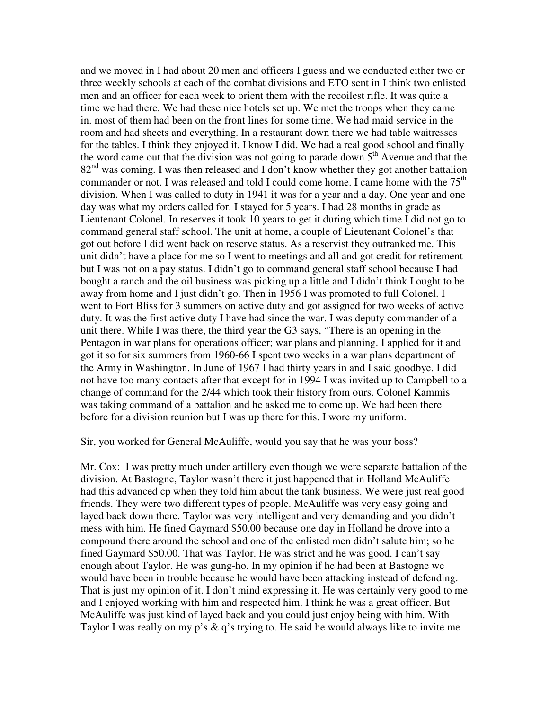and we moved in I had about 20 men and officers I guess and we conducted either two or three weekly schools at each of the combat divisions and ETO sent in I think two enlisted men and an officer for each week to orient them with the recoilest rifle. It was quite a time we had there. We had these nice hotels set up. We met the troops when they came in. most of them had been on the front lines for some time. We had maid service in the room and had sheets and everything. In a restaurant down there we had table waitresses for the tables. I think they enjoyed it. I know I did. We had a real good school and finally the word came out that the division was not going to parade down  $5<sup>th</sup>$  Avenue and that the  $82<sup>nd</sup>$  was coming. I was then released and I don't know whether they got another battalion commander or not. I was released and told I could come home. I came home with the  $75<sup>th</sup>$ division. When I was called to duty in 1941 it was for a year and a day. One year and one day was what my orders called for. I stayed for 5 years. I had 28 months in grade as Lieutenant Colonel. In reserves it took 10 years to get it during which time I did not go to command general staff school. The unit at home, a couple of Lieutenant Colonel's that got out before I did went back on reserve status. As a reservist they outranked me. This unit didn't have a place for me so I went to meetings and all and got credit for retirement but I was not on a pay status. I didn't go to command general staff school because I had bought a ranch and the oil business was picking up a little and I didn't think I ought to be away from home and I just didn't go. Then in 1956 I was promoted to full Colonel. I went to Fort Bliss for 3 summers on active duty and got assigned for two weeks of active duty. It was the first active duty I have had since the war. I was deputy commander of a unit there. While I was there, the third year the G3 says, "There is an opening in the Pentagon in war plans for operations officer; war plans and planning. I applied for it and got it so for six summers from 1960-66 I spent two weeks in a war plans department of the Army in Washington. In June of 1967 I had thirty years in and I said goodbye. I did not have too many contacts after that except for in 1994 I was invited up to Campbell to a change of command for the 2/44 which took their history from ours. Colonel Kammis was taking command of a battalion and he asked me to come up. We had been there before for a division reunion but I was up there for this. I wore my uniform.

Sir, you worked for General McAuliffe, would you say that he was your boss?

Mr. Cox: I was pretty much under artillery even though we were separate battalion of the division. At Bastogne, Taylor wasn't there it just happened that in Holland McAuliffe had this advanced cp when they told him about the tank business. We were just real good friends. They were two different types of people. McAuliffe was very easy going and layed back down there. Taylor was very intelligent and very demanding and you didn't mess with him. He fined Gaymard \$50.00 because one day in Holland he drove into a compound there around the school and one of the enlisted men didn't salute him; so he fined Gaymard \$50.00. That was Taylor. He was strict and he was good. I can't say enough about Taylor. He was gung-ho. In my opinion if he had been at Bastogne we would have been in trouble because he would have been attacking instead of defending. That is just my opinion of it. I don't mind expressing it. He was certainly very good to me and I enjoyed working with him and respected him. I think he was a great officer. But McAuliffe was just kind of layed back and you could just enjoy being with him. With Taylor I was really on my p's & q's trying to..He said he would always like to invite me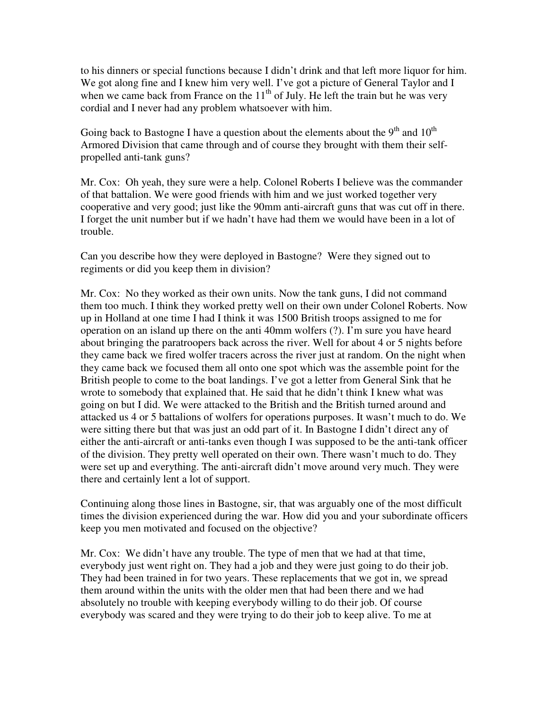to his dinners or special functions because I didn't drink and that left more liquor for him. We got along fine and I knew him very well. I've got a picture of General Taylor and I when we came back from France on the  $11<sup>th</sup>$  of July. He left the train but he was very cordial and I never had any problem whatsoever with him.

Going back to Bastogne I have a question about the elements about the  $9<sup>th</sup>$  and  $10<sup>th</sup>$ Armored Division that came through and of course they brought with them their selfpropelled anti-tank guns?

Mr. Cox: Oh yeah, they sure were a help. Colonel Roberts I believe was the commander of that battalion. We were good friends with him and we just worked together very cooperative and very good; just like the 90mm anti-aircraft guns that was cut off in there. I forget the unit number but if we hadn't have had them we would have been in a lot of trouble.

Can you describe how they were deployed in Bastogne? Were they signed out to regiments or did you keep them in division?

Mr. Cox: No they worked as their own units. Now the tank guns, I did not command them too much. I think they worked pretty well on their own under Colonel Roberts. Now up in Holland at one time I had I think it was 1500 British troops assigned to me for operation on an island up there on the anti 40mm wolfers (?). I'm sure you have heard about bringing the paratroopers back across the river. Well for about 4 or 5 nights before they came back we fired wolfer tracers across the river just at random. On the night when they came back we focused them all onto one spot which was the assemble point for the British people to come to the boat landings. I've got a letter from General Sink that he wrote to somebody that explained that. He said that he didn't think I knew what was going on but I did. We were attacked to the British and the British turned around and attacked us 4 or 5 battalions of wolfers for operations purposes. It wasn't much to do. We were sitting there but that was just an odd part of it. In Bastogne I didn't direct any of either the anti-aircraft or anti-tanks even though I was supposed to be the anti-tank officer of the division. They pretty well operated on their own. There wasn't much to do. They were set up and everything. The anti-aircraft didn't move around very much. They were there and certainly lent a lot of support.

Continuing along those lines in Bastogne, sir, that was arguably one of the most difficult times the division experienced during the war. How did you and your subordinate officers keep you men motivated and focused on the objective?

Mr. Cox: We didn't have any trouble. The type of men that we had at that time, everybody just went right on. They had a job and they were just going to do their job. They had been trained in for two years. These replacements that we got in, we spread them around within the units with the older men that had been there and we had absolutely no trouble with keeping everybody willing to do their job. Of course everybody was scared and they were trying to do their job to keep alive. To me at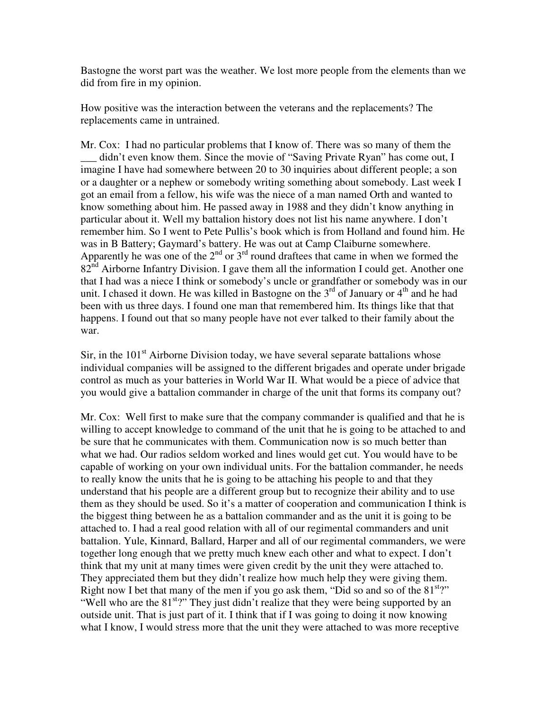Bastogne the worst part was the weather. We lost more people from the elements than we did from fire in my opinion.

How positive was the interaction between the veterans and the replacements? The replacements came in untrained.

Mr. Cox: I had no particular problems that I know of. There was so many of them the didn't even know them. Since the movie of "Saving Private Ryan" has come out, I imagine I have had somewhere between 20 to 30 inquiries about different people; a son or a daughter or a nephew or somebody writing something about somebody. Last week I got an email from a fellow, his wife was the niece of a man named Orth and wanted to know something about him. He passed away in 1988 and they didn't know anything in particular about it. Well my battalion history does not list his name anywhere. I don't remember him. So I went to Pete Pullis's book which is from Holland and found him. He was in B Battery; Gaymard's battery. He was out at Camp Claiburne somewhere. Apparently he was one of the  $2<sup>nd</sup>$  or  $3<sup>rd</sup>$  round draftees that came in when we formed the  $82<sup>nd</sup>$  Airborne Infantry Division. I gave them all the information I could get. Another one that I had was a niece I think or somebody's uncle or grandfather or somebody was in our unit. I chased it down. He was killed in Bastogne on the  $3<sup>rd</sup>$  of January or  $4<sup>th</sup>$  and he had been with us three days. I found one man that remembered him. Its things like that that happens. I found out that so many people have not ever talked to their family about the war.

Sir, in the  $101<sup>st</sup>$  Airborne Division today, we have several separate battalions whose individual companies will be assigned to the different brigades and operate under brigade control as much as your batteries in World War II. What would be a piece of advice that you would give a battalion commander in charge of the unit that forms its company out?

Mr. Cox: Well first to make sure that the company commander is qualified and that he is willing to accept knowledge to command of the unit that he is going to be attached to and be sure that he communicates with them. Communication now is so much better than what we had. Our radios seldom worked and lines would get cut. You would have to be capable of working on your own individual units. For the battalion commander, he needs to really know the units that he is going to be attaching his people to and that they understand that his people are a different group but to recognize their ability and to use them as they should be used. So it's a matter of cooperation and communication I think is the biggest thing between he as a battalion commander and as the unit it is going to be attached to. I had a real good relation with all of our regimental commanders and unit battalion. Yule, Kinnard, Ballard, Harper and all of our regimental commanders, we were together long enough that we pretty much knew each other and what to expect. I don't think that my unit at many times were given credit by the unit they were attached to. They appreciated them but they didn't realize how much help they were giving them. Right now I bet that many of the men if you go ask them, "Did so and so of the  $81<sup>st</sup>$ " "Well who are the  $81^{st}$ ?" They just didn't realize that they were being supported by an outside unit. That is just part of it. I think that if I was going to doing it now knowing what I know, I would stress more that the unit they were attached to was more receptive